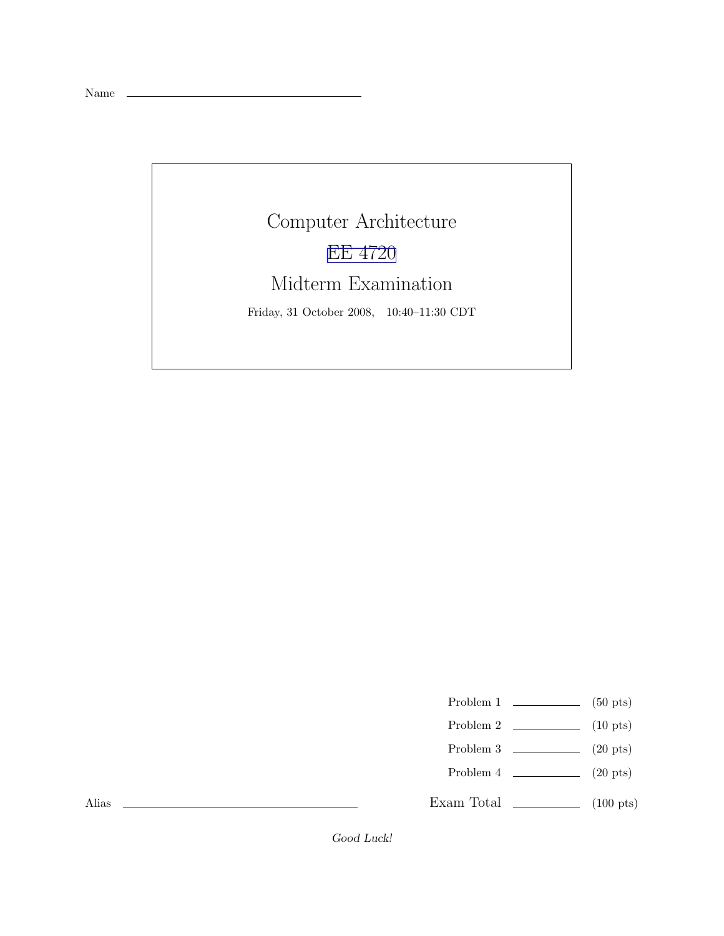Name

Computer Architecture [EE 4720](http://www.ece.lsu.edu/ee4720/) Midterm Examination Friday, 31 October 2008, 10:40–11:30 CDT

Problem 1  $\qquad \qquad$  (50 pts)

- Problem 2  $\qquad \qquad$  (10 pts)
- Problem 3  $\qquad \qquad$  (20 pts)
- Problem 4  $\qquad \qquad (20 \text{ pts})$

Exam Total \_\_\_\_\_\_\_\_\_\_\_\_\_\_ (100 pts)

Alias

Good Luck!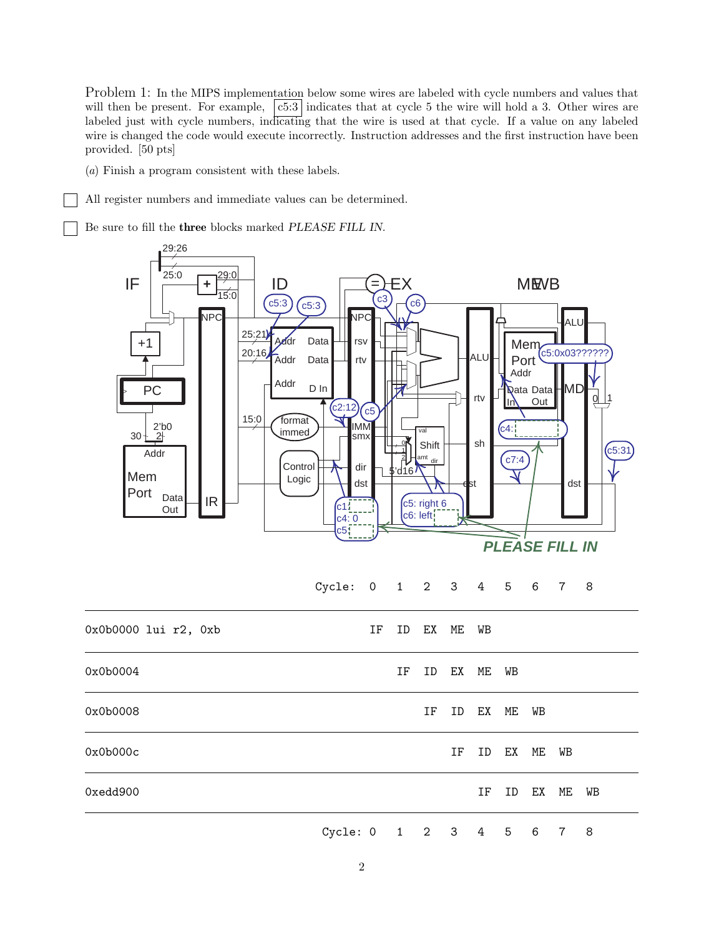Problem 1: In the MIPS implementation below some wires are labeled with cycle numbers and values that will then be present. For example,  $\vert c5:3 \vert$  indicates that at cycle 5 the wire will hold a 3. Other wires are labeled just with cycle numbers, indicating that the wire is used at that cycle. If a value on any labeled wire is changed the code would execute incorrectly. Instruction addresses and the first instruction have been provided. [50 pts]

(a) Finish a program consistent with these labels.

All register numbers and immediate values can be determined.

Be sure to fill the three blocks marked PLEASE FILL IN.

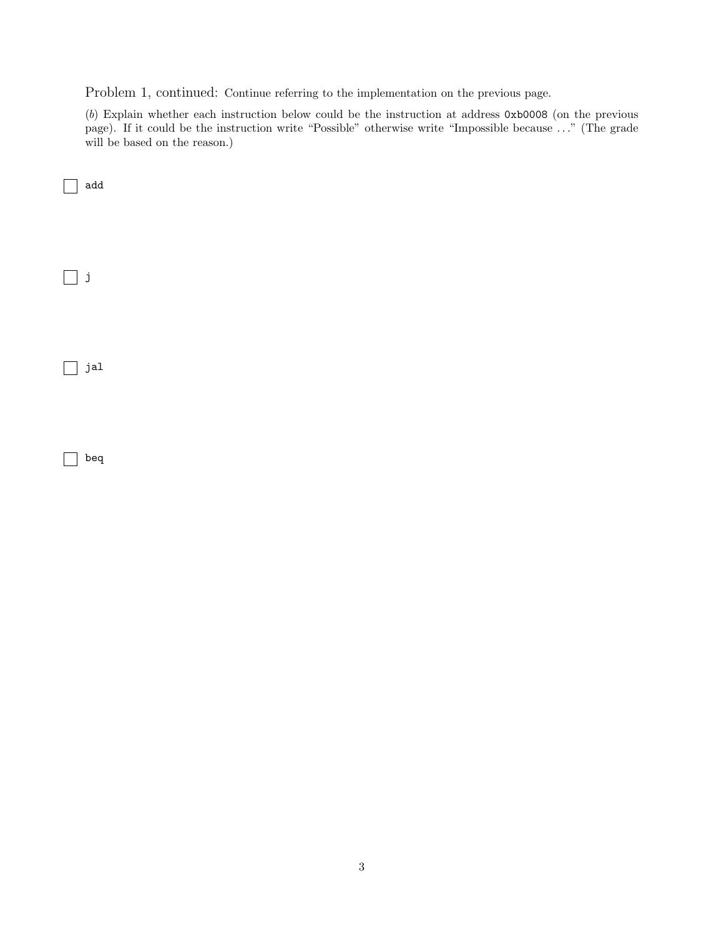Problem 1, continued: Continue referring to the implementation on the previous page.

(b) Explain whether each instruction below could be the instruction at address 0xb0008 (on the previous page). If it could be the instruction write "Possible" otherwise write "Impossible because ..." (The grade will be based on the reason.)

 $\hfill\Box$ j  $\Box$  jal

 $\overline{\phantom{a}}$  beq

add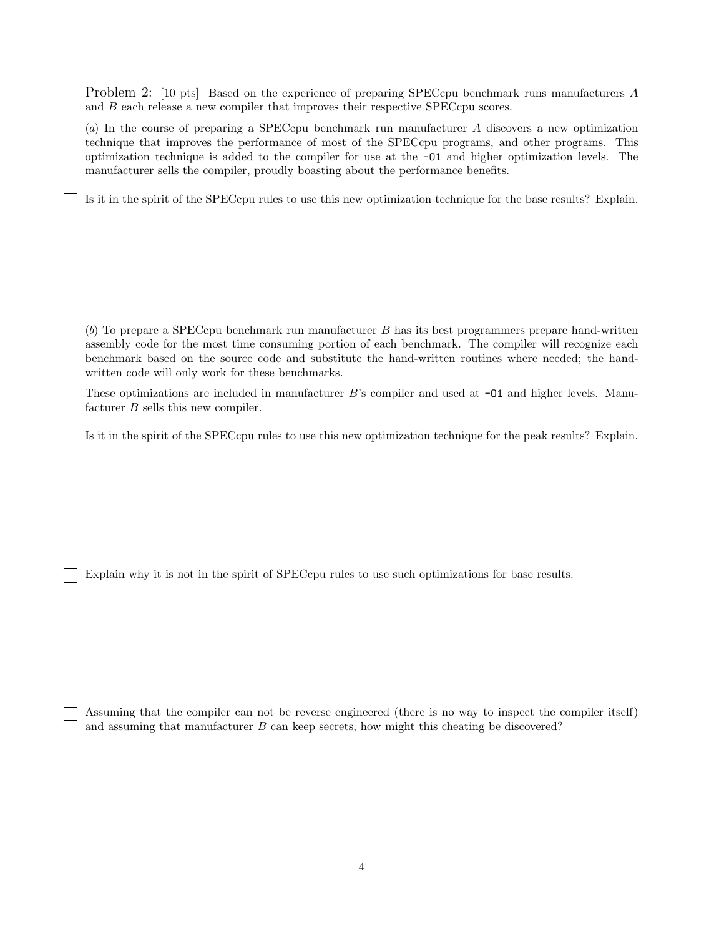Problem 2: [10 pts] Based on the experience of preparing SPECcpu benchmark runs manufacturers A and B each release a new compiler that improves their respective SPECcpu scores.

(a) In the course of preparing a SPECcpu benchmark run manufacturer A discovers a new optimization technique that improves the performance of most of the SPECcpu programs, and other programs. This optimization technique is added to the compiler for use at the -O1 and higher optimization levels. The manufacturer sells the compiler, proudly boasting about the performance benefits.

Is it in the spirit of the SPECcpu rules to use this new optimization technique for the base results? Explain.

(b) To prepare a SPECcpu benchmark run manufacturer B has its best programmers prepare hand-written assembly code for the most time consuming portion of each benchmark. The compiler will recognize each benchmark based on the source code and substitute the hand-written routines where needed; the handwritten code will only work for these benchmarks.

These optimizations are included in manufacturer  $B$ 's compiler and used at  $-01$  and higher levels. Manufacturer B sells this new compiler.

Is it in the spirit of the SPECcpu rules to use this new optimization technique for the peak results? Explain.

Explain why it is not in the spirit of SPECcpu rules to use such optimizations for base results.

Assuming that the compiler can not be reverse engineered (there is no way to inspect the compiler itself) and assuming that manufacturer  $B$  can keep secrets, how might this cheating be discovered?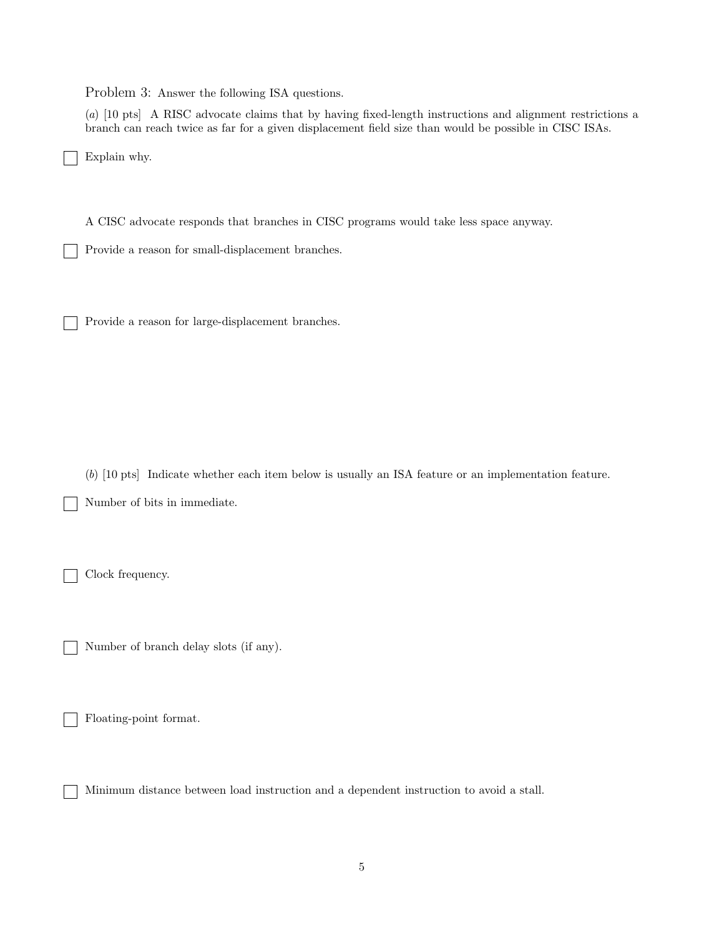Problem 3: Answer the following ISA questions.

(a) [10 pts] A RISC advocate claims that by having fixed-length instructions and alignment restrictions a branch can reach twice as far for a given displacement field size than would be possible in CISC ISAs.

Explain why.

A CISC advocate responds that branches in CISC programs would take less space anyway.

Provide a reason for small-displacement branches.

Provide a reason for large-displacement branches.

(b) [10 pts] Indicate whether each item below is usually an ISA feature or an implementation feature. Number of bits in immediate.

Clock frequency.

Number of branch delay slots (if any).

Floating-point format.

Minimum distance between load instruction and a dependent instruction to avoid a stall.